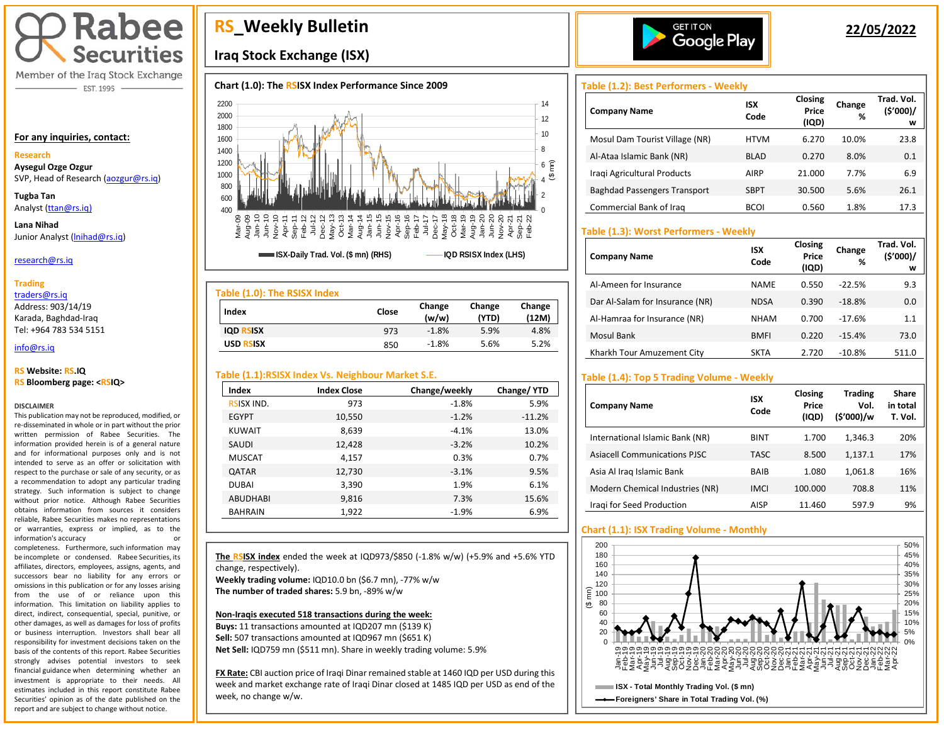

Member of the Iraq Stock Exchange EST. 1995

#### **For any inquiries, contact:**

## **Research**

**Aysegul Ozge Ozgur**  SVP, Head of Research [\(aozgur@rs.iq\)](mailto:aozgur@rs.iq)

**Tugba Tan** Analyst [\(ttan@rs.iq\)](mailto:ttan@rs.iq)

**Lana Nihad** Junior Analyst (Inihad@rs.iq)

### research@rs.iq

#### **Trading**

traders@rs.iq

Address: 903/14/19 Karada, Baghdad-Iraq Tel: +964 783 534 5151

#### info@rs.iq İ

#### **RS Website: RS.IQ RS Bloomberg page: <RSIQ>**

#### **DISCLAIMER**

This publication may not be reproduced, modified, or re-disseminated in whole or in part without the prior written permission of Rabee Securities. The information provided herein is of a general nature and for informational purposes only and is not intended to serve as an offer or solicitation with respect to the purchase or sale of any security, or as a recommendation to adopt any particular trading strategy. Such information is subject to change without prior notice. Although Rabee Securities obtains information from sources it considers reliable, Rabee Securities makes no representations or warranties, express or implied, as to the information's accuracy or

completeness. Furthermore, such information may be incomplete or condensed. Rabee Securities, its affiliates, directors, employees, assigns, agents, and successors bear no liability for any errors or omissions in this publication or for any losses arising from the use of or reliance upon this information. This limitation on liability applies to direct, indirect, consequential, special, punitive, or other damages, as well as damages for loss of profits or business interruption. Investors shall bear all responsibility for investment decisions taken on the basis of the contents of this report. Rabee Securities strongly advises potential investors to seek financial guidance when determining whether an investment is appropriate to their needs. All estimates included in this report constitute Rabee Securities' opinion as of the date published on the report and are subject to change without notice.

# **RS\_Weekly Bulletin**

## **Iraq Stock Exchange (ISX)**

## **Chart (1.0): The RSISX Index Performance Since 2009**



| Table (1.0): The RSISX Index |       |                 |                 |                 |
|------------------------------|-------|-----------------|-----------------|-----------------|
| Index                        | Close | Change<br>(w/w) | Change<br>(YTD) | Change<br>(12M) |
| <b>IQD RSISX</b>             | 973   | $-1.8%$         | 5.9%            | 4.8%            |
| <b>USD RSISX</b>             | 850   | $-1.8%$         | 5.6%            | 5.2%            |

## **Table (1.1):RSISX Index Vs. Neighbour Market S.E.**

| Index             | <b>Index Close</b> | Change/weekly | Change/YTD |
|-------------------|--------------------|---------------|------------|
| <b>RSISX IND.</b> | 973                | $-1.8%$       | 5.9%       |
| <b>EGYPT</b>      | 10,550             | $-1.2%$       | $-11.2%$   |
| <b>KUWAIT</b>     | 8,639              | $-4.1%$       | 13.0%      |
| SAUDI             | 12,428             | $-3.2%$       | 10.2%      |
| <b>MUSCAT</b>     | 4,157              | 0.3%          | 0.7%       |
| <b>QATAR</b>      | 12,730             | $-3.1%$       | 9.5%       |
| <b>DUBAI</b>      | 3,390              | 1.9%          | 6.1%       |
| <b>ABUDHABI</b>   | 9,816              | 7.3%          | 15.6%      |
| <b>BAHRAIN</b>    | 1,922              | $-1.9%$       | 6.9%       |

**The RSISX index** ended the week at IQD973/\$850 (-1.8% w/w) (+5.9% and +5.6% YTD change, respectively). **Weekly trading volume:** IQD10.0 bn (\$6.7 mn), -77% w/w

**The number of traded shares:** 5.9 bn, -89% w/w

I

#### **Non-Iraqis executed 518 transactions during the week:**

**Buys:** 11 transactions amounted at IQD207 mn (\$139 K) **Sell:** 507 transactions amounted at IQD967 mn (\$651 K) **Net Sell:** IQD759 mn (\$511 mn). Share in weekly trading volume: 5.9%

**FX Rate:** CBI auction price of Iraqi Dinar remained stable at 1460 IQD per USD during this week and market exchange rate of Iraqi Dinar closed at 1485 IQD per USD as end of the week, no change w/w.



## **22/05/2022**

## **Table (1.2): Best Performers - Weekly**

| <b>Company Name</b>                 | <b>ISX</b><br>Code | Closing<br>Price<br>(IQD) | Change<br>% | Trad. Vol.<br>(\$'000)/<br>w |
|-------------------------------------|--------------------|---------------------------|-------------|------------------------------|
| Mosul Dam Tourist Village (NR)      | <b>HTVM</b>        | 6.270                     | 10.0%       | 23.8                         |
| Al-Ataa Islamic Bank (NR)           | <b>BLAD</b>        | 0.270                     | 8.0%        | 0.1                          |
| Iragi Agricultural Products         | <b>AIRP</b>        | 21.000                    | 7.7%        | 6.9                          |
| <b>Baghdad Passengers Transport</b> | <b>SBPT</b>        | 30.500                    | 5.6%        | 26.1                         |
| Commercial Bank of Irag             | <b>BCOI</b>        | 0.560                     | 1.8%        | 17.3                         |

## **Table (1.3): Worst Performers - Weekly**

| <b>Company Name</b>             | ISX<br>Code | Closing<br>Price<br>(IQD) | Change<br>% | Trad. Vol.<br>(\$'000)/<br>w |
|---------------------------------|-------------|---------------------------|-------------|------------------------------|
| Al-Ameen for Insurance          | <b>NAME</b> | 0.550                     | $-22.5%$    | 9.3                          |
| Dar Al-Salam for Insurance (NR) | <b>NDSA</b> | 0.390                     | $-18.8%$    | 0.0                          |
| Al-Hamraa for Insurance (NR)    | <b>NHAM</b> | 0.700                     | $-17.6%$    | 1.1                          |
| Mosul Bank                      | <b>BMFI</b> | 0.220                     | $-15.4%$    | 73.0                         |
| Kharkh Tour Amuzement City      | <b>SKTA</b> | 2.720                     | $-10.8%$    | 511.0                        |

## **Table (1.4): Top 5 Trading Volume - Weekly**

| <b>Company Name</b>                 | <b>ISX</b><br>Code | Closing<br>Price<br>(IQD) | <b>Trading</b><br>Vol.<br>(\$'000)/w | Share<br>in total<br>T. Vol. |
|-------------------------------------|--------------------|---------------------------|--------------------------------------|------------------------------|
| International Islamic Bank (NR)     | <b>BINT</b>        | 1.700                     | 1.346.3                              | 20%                          |
| <b>Asiacell Communications PJSC</b> | <b>TASC</b>        | 8.500                     | 1,137.1                              | 17%                          |
| Asia Al Iraq Islamic Bank           | BAIB               | 1.080                     | 1,061.8                              | 16%                          |
| Modern Chemical Industries (NR)     | <b>IMCI</b>        | 100.000                   | 708.8                                | 11%                          |
| Iragi for Seed Production           | AISP               | 11.460                    | 597.9                                | 9%                           |

## **Chart (1.1): ISX Trading Volume - Monthly**

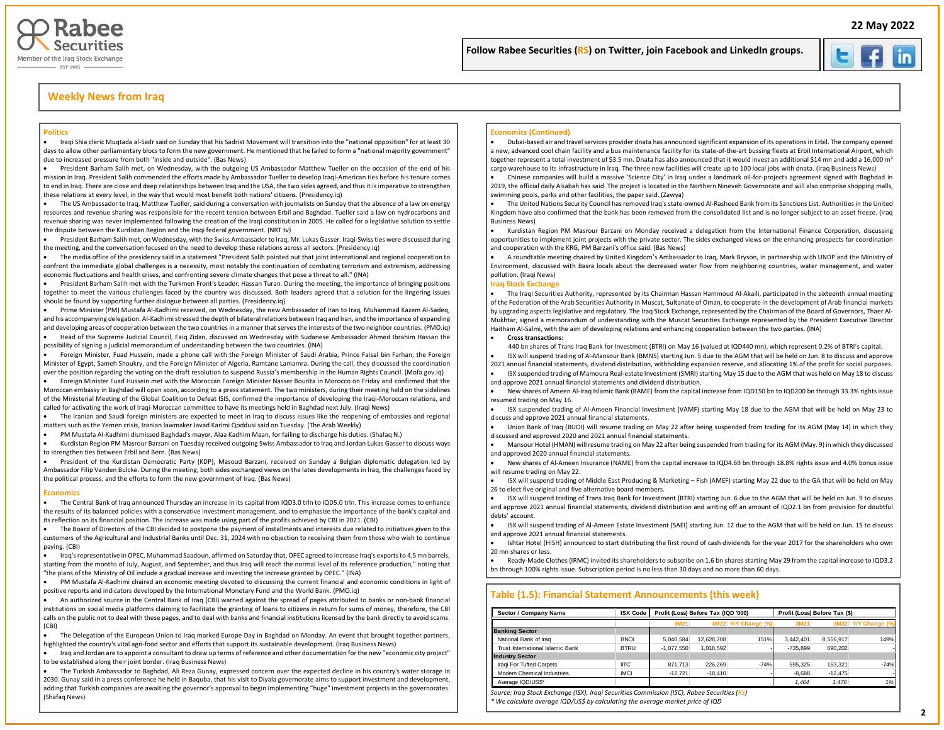



## **Weekly News from Iraq**

#### **Politics**

• Iraqi Shia cleric Muqtada al-Sadr said on Sunday that his Sadrist Movement will transition into the "national opposition" for at least 30 days to allow other parliamentary blocs to form the new government. He mentioned that he failed to form a "national majority government" due to increased pressure from both "inside and outside". (Bas News)

• President Barham Salih met, on Wednesday, with the outgoing US Ambassador Matthew Tueller on the occasion of the end of his mission in Iraq. President Salih commended the efforts made by Ambassador Tueller to develop Iraqi-American ties before his tenure comes to end in Iraq. There are close and deep relationships between Iraq and the USA, the two sides agreed, and thus it is imperative to strengthen these relations at every level, in the way that would most benefit both nations' citizens. (Presidency.iq)

• The US Ambassador to Iraq, Matthew Tueller, said during a conversation with journalists on Sunday that the absence of a law on energy resources and revenue sharing was responsible for the recent tension between Erbil and Baghdad. Tueller said a law on hydrocarbons and revenue sharing was never implemented following the creation of the Iraqi constitution in 2005. He called for a legislative solution to settle the dispute between the Kurdistan Region and the Iraqi federal government. (NRT tv)

• President Barham Salih met, on Wednesday, with the Swiss Ambassador to Iraq, Mr. Lukas Gasser. Iraqi-Swiss ties were discussed during the meeting, and the conversation focused on the need to develop these relations across all sectors. (Presidency.iq)

The media office of the presidency said in a statement "President Salih pointed out that joint international and regional cooperation to confront the immediate global challenges is a necessity, most notably the continuation of combating terrorism and extremism, addressing economic fluctuations and health crises, and confronting severe climate changes that pose a threat to all." (INA)

• President Barham Salih met with the Turkmen Front's Leader, Hassan Turan. During the meeting, the importance of bringing positions together to meet the various challenges faced by the country was discussed. Both leaders agreed that a solution for the lingering issues should be found by supporting further dialogue between all parties. (Presidency.iq)

• Prime Minister (PM) Mustafa Al-Kadhimi received, on Wednesday, the new Ambassador of Iran to Iraq, Muhammad Kazem Al-Sadeq, and his accompanying delegation. Al-Kadhimi stressed the depth of bilateral relations between Iraq and Iran, and the importance of expanding and developing areas of cooperation between the two countries in a manner that serves the interests of the two neighbor countries. (PMO.iq)

• Head of the Supreme Judicial Council, Faiq Zidan, discussed on Wednesday with Sudanese Ambassador Ahmed Ibrahim Hassan the possibility of signing a judicial memorandum of understanding between the two countries. (INA)

• Foreign Minister, Fuad Hussein, made a phone call with the Foreign Minister of Saudi Arabia, Prince Faisal bin Farhan, the Foreign Minister of Egypt, Sameh Shoukry, and the Foreign Minister of Algeria, Ramtane Lamamra. During the call, they discussed the coordination over the position regarding the voting on the draft resolution to suspend Russia's membership in the Human Rights Council. (Mofa.gov.iq)

• Foreign Minister Fuad Hussein met with the Moroccan Foreign Minister Nasser Bourita in Morocco on Friday and confirmed that the Moroccan embassy in Baghdad will open soon, according to a press statement. The two ministers, during their meeting held on the sidelines of the Ministerial Meeting of the Global Coalition to Defeat ISIS, confirmed the importance of developing the Iraqi-Moroccan relations, and called for activating the work of Iraqi-Moroccan committee to have its meetings held in Baghdad next July. (Iraqi News)

• The Iranian and Saudi foreign ministers are expected to meet in Iraq to discuss issues like the reopening of embassies and regional matters such as the Yemen crisis, Iranian lawmaker Javad Karimi Qoddusi said on Tuesday. (The Arab Weekly)

• PM Mustafa Al-Kadhimi dismissed Baghdad's mayor, Alaa Kadhim Maan, for failing to discharge his duties. (Shafaq N.)

• Kurdistan Region PM Masrour Barzani on Tuesday received outgoing Swiss Ambassador to Iraq and Jordan Lukas Gasser to discuss ways to strengthen ties between Erbil and Bern. (Bas News)

• President of the Kurdistan Democratic Party (KDP), Masoud Barzani, received on Sunday a Belgian diplomatic delegation led by Ambassador Filip Vanden Bulcke. During the meeting, both sides exchanged views on the lates developments in Iraq, the challenges faced by the political process, and the efforts to form the new government of Iraq. (Bas News)

#### **Economics**

• The Central Bank of Iraq announced Thursday an increase in its capital from IQD3.0 trln to IQD5.0 trln. This increase comes to enhance the results of its balanced policies with a conservative investment management, and to emphasize the importance of the bank's capital and its reflection on its financial position. The increase was made using part of the profits achieved by CBI in 2021. (CBI)

• The Board of Directors of the CBI decided to postpone the payment of installments and interests due related to initiatives given to the customers of the Agricultural and Industrial Banks until Dec. 31, 2024 with no objection to receiving them from those who wish to continue paying. (CBI)

• Iraq's representative in OPEC, Muhammad Saadoun, affirmed on Saturday that, OPEC agreed to increase Iraq's exports to 4.5 mn barrels, starting from the months of July, August, and September, and thus Iraq will reach the normal level of its reference production," noting that "the plans of the Ministry of Oil include a gradual increase and investing the increase granted by OPEC." (INA)

• PM Mustafa Al-Kadhimi chaired an economic meeting devoted to discussing the current financial and economic conditions in light of positive reports and indicators developed by the International Monetary Fund and the World Bank. (PMO.iq)

• An authorized source in the Central Bank of Iraq (CBI) warned against the spread of pages attributed to banks or non-bank financial institutions on social media platforms claiming to facilitate the granting of loans to citizens in return for sums of money, therefore, the CBI calls on the public not to deal with these pages, and to deal with banks and financial institutions licensed by the bank directly to avoid scams. (CBI)

• The Delegation of the European Union to Iraq marked Europe Day in Baghdad on Monday. An event that brought together partners, highlighted the country's vital agri-food sector and efforts that support its sustainable development. (Iraq Business News)

• Iraq and Jordan are to appoint a consultant to draw up terms of reference and other documentation for the new "economic city project" to be established along their joint border. (Iraq Business News)

• The Turkish Ambassador to Baghdad, Ali Reza Gunay, expressed concern over the expected decline in his country's water storage in 2030. Gunay said in a press conference he held in Baquba, that his visit to Diyala governorate aims to support investment and development, adding that Turkish companies are awaiting the governor's approval to begin implementing "huge" investment projects in the governorates. (Shafaq News)

#### **Economics (Continued)**

• Dubai-based air and travel services provider dnata has announced significant expansion of its operations in Erbil. The company opened a new, advanced cool chain facility and a bus maintenance facility for its state-of-the-art bussing fleets at Erbil International Airport, which together represent a total investment of \$3.5 mn. Dnata has also announced that it would invest an additional \$14 mn and add a 16,000 m<sup>2</sup> cargo warehouse to its infrastructure in Iraq. The three new facilities will create up to 100 local jobs with dnata. (Iraq Business News)

İ

 $\overline{\phantom{a}}$ 

• Chinese companies will build a massive 'Science City' in Iraq under a landmark oil-for-projects agreement signed with Baghdad in 2019, the official daily Alsabah has said. The project is located in the Northern Nineveh Governorate and will also comprise shopping malls, swimming pools, parks and other facilities, the paper said. (Zawya)

• The United Nations Security Council has removed Iraq's state-owned Al-Rasheed Bank from its Sanctions List. Authorities in the United Kingdom have also confirmed that the bank has been removed from the consolidated list and is no longer subject to an asset freeze. (Iraq Business News)

• Kurdistan Region PM Masrour Barzani on Monday received a delegation from the International Finance Corporation, discussing opportunities to implement joint projects with the private sector. The sides exchanged views on the enhancing prospects for coordination and cooperation with the KRG, PM Barzani's office said. (Bas News)

• A roundtable meeting chaired by United Kingdom's Ambassador to Iraq, Mark Bryson, in partnership with UNDP and the Ministry of Environment, discussed with Basra locals about the decreased water flow from neighboring countries, water management, and water pollution. (Iraqi News)

#### **Iraq Stock Exchange**

• The Iraqi Securities Authority, represented by its Chairman Hassan Hammoud Al-Akaili, participated in the sixteenth annual meeting of the Federation of the Arab Securities Authority in Muscat, Sultanate of Oman, to cooperate in the development of Arab financial markets by upgrading aspects legislative and regulatory. The Iraq Stock Exchange, represented by the Chairman of the Board of Governors, Thaer Al-Mukhtar, signed a memorandum of understanding with the Muscat Securities Exchange represented by the President Executive Director Haitham Al-Salmi, with the aim of developing relations and enhancing cooperation between the two parties. (INA)

#### • **Cross transactions:**

440 bn shares of Trans Iraq Bank for Investment (BTRI) on May 16 (valued at IQD440 mn), which represent 0.2% of BTRI's capital.

• ISX will suspend trading of Al-Mansour Bank (BMNS) starting Jun. 5 due to the AGM that will be held on Jun. 8 to discuss and approve 2021 annual financial statements, dividend distribution, withholding expansion reserve, and allocating 1% of the profit for social purposes.

• ISX suspended trading of Mamoura Real-estate Investment (SMRI) starting May 15 due to the AGM that was held on May 18 to discuss and approve 2021 annual financial statements and dividend distribution.

• New shares of Ameen Al-Iraq Islamic Bank (BAME) from the capital increase from IQD150 bn to IQD200 bn through 33.3% rights issue resumed trading on May 16.

• ISX suspended trading of Al-Ameen Financial Investment (VAMF) starting May 18 due to the AGM that will be held on May 23 to discuss and approve 2021 annual financial statements.

• Union Bank of Iraq (BUOI) will resume trading on May 22 after being suspended from trading for its AGM (May 14) in which they discussed and approved 2020 and 2021 annual financial statements.

• Mansour Hotel (HMAN) will resume trading on May 22 after being suspended from trading for its AGM (May. 9) in which they discussed and approved 2020 annual financial statements.

• New shares of Al-Ameen Insurance (NAME) from the capital increase to IQD4.69 bn through 18.8% rights issue and 4.0% bonus issue will resume trading on May 22.

• ISX will suspend trading of Middle East Producing & Marketing – Fish (AMEF) starting May 22 due to the GA that will be held on May 26 to elect five original and five alternative board members.

• ISX will suspend trading of Trans Iraq Bank for Investment (BTRI) starting Jun. 6 due to the AGM that will be held on Jun. 9 to discuss and approve 2021 annual financial statements, dividend distribution and writing off an amount of IQD2.1 bn from provision for doubtful debts' account.

• ISX will suspend trading of Al-Ameen Estate Investment (SAEI) starting Jun. 12 due to the AGM that will be held on Jun. 15 to discuss and approve 2021 annual financial statements.

• Ishtar Hotel (HISH) announced to start distributing the first round of cash dividends for the year 2017 for the shareholders who own 20 mn shares or less.

• Ready-Made Clothes (IRMC) invited its shareholders to subscribe on 1.6 bn shares starting May 29 from the capital increase to IQD3.2 bn through 100% rights issue. Subscription period is no less than 30 days and no more than 60 days.

#### **Table (1.5): Financial Statement Announcements (this week)**

| Sector / Company Name            | <b>ISX Code</b> |              | Profit (Loss) Before Tax (IQD '000) |                     | Profit (Loss) Before Tax (\$) |           |                |  |  |  |
|----------------------------------|-----------------|--------------|-------------------------------------|---------------------|-------------------------------|-----------|----------------|--|--|--|
|                                  |                 | 3M21         |                                     | 3M22 Y/Y Change (%) | 3M21                          | 3M22      | Y/Y Change (%) |  |  |  |
| <b>Banking Sector</b>            |                 |              |                                     |                     |                               |           |                |  |  |  |
| National Bank of Iraq            | <b>BNOI</b>     | 5.040.584    | 12.628.208                          | 151%                | 3.442.401                     | 8.556.917 | 149%           |  |  |  |
| Trust International Islamic Bank | <b>BTRU</b>     | $-1.077.550$ | 1.018.592                           |                     | $-735.899$                    | 690.202   |                |  |  |  |
| <b>Industry Sector</b>           |                 |              |                                     |                     |                               |           |                |  |  |  |
| Iraqi For Tufted Carpets         | <b>IITC</b>     | 871.713      | 226.269                             | $-74%$              | 595.325                       | 153.321   | $-74%$         |  |  |  |
| Modern Chemical Industries       | <b>IMCI</b>     | $-12.721$    | $-18.410$                           |                     | $-8.688$                      | $-12.475$ |                |  |  |  |
| Average IQD/US\$*                |                 |              |                                     |                     | 1.464                         | 1.476     | 1%             |  |  |  |

*Source: Iraq Stock Exchange (ISX), Iraqi Securities Commission (ISC), Rabee Securities (RS)*

*\* We calculate average IQD/US\$ by calculating the average market price of IQD*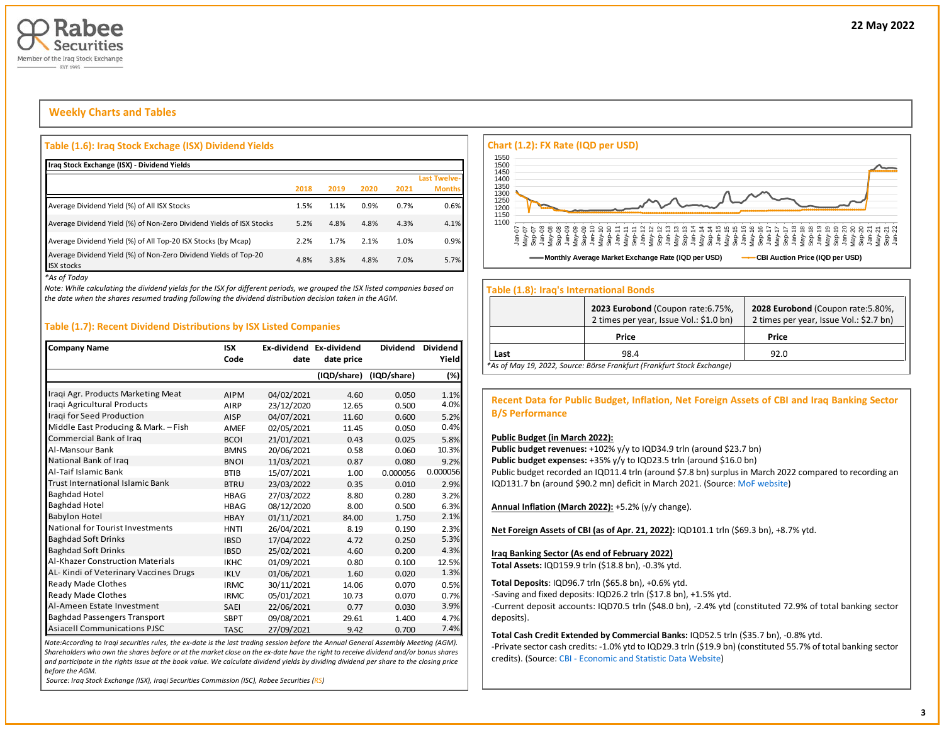

## **Weekly Charts and Tables**

## **Table (1.6): Iraq Stock Exchage (ISX) Dividend Yields**

| Iraq Stock Exchange (ISX) - Dividend Yields                                           |      |      |      |      |                               |
|---------------------------------------------------------------------------------------|------|------|------|------|-------------------------------|
|                                                                                       | 2018 | 2019 | 2020 | 2021 | Last Twelve-<br><b>Months</b> |
| Average Dividend Yield (%) of All ISX Stocks                                          | 1.5% | 1.1% | 0.9% | 0.7% | 0.6%                          |
| Average Dividend Yield (%) of Non-Zero Dividend Yields of ISX Stocks                  | 5.2% | 4.8% | 4.8% | 4.3% | 4.1%                          |
| Average Dividend Yield (%) of All Top-20 ISX Stocks (by Mcap)                         | 2.2% | 1.7% | 2.1% | 1.0% | 0.9%                          |
| Average Dividend Yield (%) of Non-Zero Dividend Yields of Top-20<br><b>ISX stocks</b> | 4.8% | 3.8% | 4.8% | 7.0% | 5.7%                          |

*\*As of Today*

*Note: While calculating the dividend yields for the ISX for different periods, we grouped the ISX listed companies based on the date when the shares resumed trading following the dividend distribution decision taken in the AGM.* 

### **Table (1.7): Recent Dividend Distributions by ISX Listed Companies**

| <b>Company Name</b>                     | <b>ISX</b>  | Ex-dividend Ex-dividend |             | <b>Dividend</b> | Dividend |
|-----------------------------------------|-------------|-------------------------|-------------|-----------------|----------|
|                                         | Code        | date                    | date price  |                 | Yield    |
|                                         |             |                         | (IQD/share) | (IQD/share)     | (%)      |
| Iraqi Agr. Products Marketing Meat      | <b>AIPM</b> | 04/02/2021              | 4.60        | 0.050           | 1.1%     |
| Iraqi Agricultural Products             | AIRP        | 23/12/2020              | 12.65       | 0.500           | 4.0%     |
| Iraqi for Seed Production               | <b>AISP</b> | 04/07/2021              | 11.60       | 0.600           | 5.2%     |
| Middle East Producing & Mark. - Fish    | <b>AMEF</b> | 02/05/2021              | 11.45       | 0.050           | 0.4%     |
| Commercial Bank of Irag                 | <b>BCOI</b> | 21/01/2021              | 0.43        | 0.025           | 5.8%     |
| Al-Mansour Bank                         | <b>BMNS</b> | 20/06/2021              | 0.58        | 0.060           | 10.3%    |
| National Bank of Iraq                   | <b>BNOI</b> | 11/03/2021              | 0.87        | 0.080           | 9.2%     |
| Al-Taif Islamic Bank                    | <b>BTIB</b> | 15/07/2021              | 1.00        | 0.000056        | 0.000056 |
| Trust International Islamic Bank        | <b>BTRU</b> | 23/03/2022              | 0.35        | 0.010           | 2.9%     |
| <b>Baghdad Hotel</b>                    | <b>HBAG</b> | 27/03/2022              | 8.80        | 0.280           | 3.2%     |
| <b>Baghdad Hotel</b>                    | <b>HBAG</b> | 08/12/2020              | 8.00        | 0.500           | 6.3%     |
| <b>Babylon Hotel</b>                    | <b>HBAY</b> | 01/11/2021              | 84.00       | 1.750           | 2.1%     |
| National for Tourist Investments        | <b>HNTI</b> | 26/04/2021              | 8.19        | 0.190           | 2.3%     |
| <b>Baghdad Soft Drinks</b>              | <b>IBSD</b> | 17/04/2022              | 4.72        | 0.250           | 5.3%     |
| <b>Baghdad Soft Drinks</b>              | <b>IBSD</b> | 25/02/2021              | 4.60        | 0.200           | 4.3%     |
| <b>Al-Khazer Construction Materials</b> | <b>IKHC</b> | 01/09/2021              | 0.80        | 0.100           | 12.5%    |
| AL-Kindi of Veterinary Vaccines Drugs   | <b>IKLV</b> | 01/06/2021              | 1.60        | 0.020           | 1.3%     |
| Ready Made Clothes                      | <b>IRMC</b> | 30/11/2021              | 14.06       | 0.070           | 0.5%     |
| Ready Made Clothes                      | <b>IRMC</b> | 05/01/2021              | 10.73       | 0.070           | 0.7%     |
| Al-Ameen Estate Investment              | <b>SAEI</b> | 22/06/2021              | 0.77        | 0.030           | 3.9%     |
| <b>Baghdad Passengers Transport</b>     | <b>SBPT</b> | 09/08/2021              | 29.61       | 1.400           | 4.7%     |
| <b>Asiacell Communications PJSC</b>     | <b>TASC</b> | 27/09/2021              | 9.42        | 0.700           | 7.4%     |

*Note:According to Iraqi securities rules, the ex-date is the last trading session before the Annual General Assembly Meeting (AGM). Shareholders who own the shares before or at the market close on the ex-date have the right to receive dividend and/or bonus shares and participate in the rights issue at the book value. We calculate dividend yields by dividing dividend per share to the closing price before the AGM.*

*Source: Iraq Stock Exchange (ISX), Iraqi Securities Commission (ISC), Rabee Securities (RS)*



#### **Table (1.8): Iraq's International Bonds**

|      | 2023 Eurobond (Coupon rate: 6.75%,<br>2 times per year, Issue Vol.: \$1.0 bn) | 2028 Eurobond (Coupon rate: 5.80%,<br>2 times per year, Issue Vol.: \$2.7 bn) |
|------|-------------------------------------------------------------------------------|-------------------------------------------------------------------------------|
|      | Price                                                                         | Price                                                                         |
| Last | 98.4                                                                          | 92.0                                                                          |
|      | *As of May 19, 2022, Source: Börse Frankfurt (Frankfurt Stock Exchange)       |                                                                               |

**Recent Data for Public Budget, Inflation, Net Foreign Assets of CBI and Iraq Banking Sector B/S Performance**

#### **Public Budget (in March 2022):**

Public budget revenues: +102% y/y to IQD34.9 trln (around \$23.7 bn) Public budget expenses: +35% y/y to IQD23.5 trln (around \$16.0 bn) Public budget recorded an IQD11.4 trln (around \$7.8 bn) surplus in March 2022 compared to recording an IQD131.7 bn (around \$90.2 mn) deficit in March 2021. (Source[: MoF website\)](http://mof.gov.iq/obs/ar/Pages/obsDocuments.aspx)

**Annual Inflation (March 2022):** +5.2% (y/y change).

**Net Foreign Assets of CBI (as of Apr. 21, 2022):** IQD101.1 trln (\$69.3 bn), +8.7% ytd.

#### **Iraq Banking Sector (As end of February 2022)**

**Total Assets:** IQD159.9 trln (\$18.8 bn), -0.3% ytd.

**Total Deposits**: IQD96.7 trln (\$65.8 bn), +0.6% ytd.

-Saving and fixed deposits: IQD26.2 trln (\$17.8 bn), +1.5% ytd.

-Current deposit accounts: IQD70.5 trln (\$48.0 bn), -2.4% ytd (constituted 72.9% of total banking sector deposits).

**Total Cash Credit Extended by Commercial Banks:** IQD52.5 trln (\$35.7 bn), -0.8% ytd.

-Private sector cash credits: -1.0% ytd to IQD29.3 trln (\$19.9 bn) (constituted 55.7% of total banking sector credits). (Source: CBI - [Economic and Statistic Data Website\)](https://cbiraq.org/)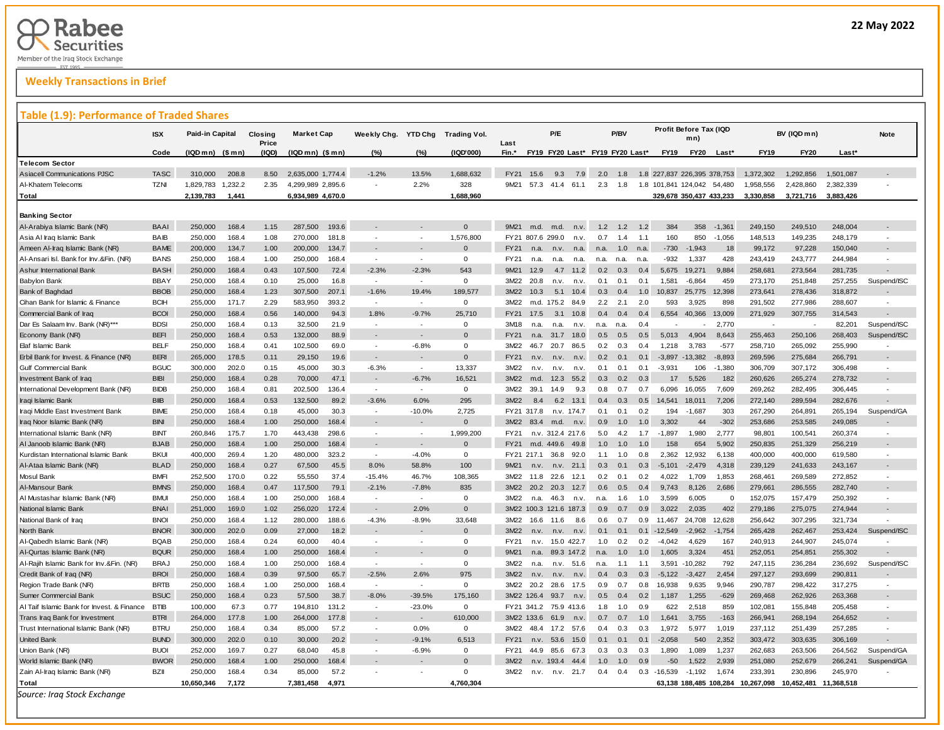## **Weekly Transactions in Brief**

### **Table (1.9): Performance of Traded Shares**

| rabie                                                     |             | વ∙<br><b>Shares</b>    |         |                  |                   |       |                |                          |                     |                  |                          |                  |             |                                 |      |      |             |                               |                      |             |                       |           |             |
|-----------------------------------------------------------|-------------|------------------------|---------|------------------|-------------------|-------|----------------|--------------------------|---------------------|------------------|--------------------------|------------------|-------------|---------------------------------|------|------|-------------|-------------------------------|----------------------|-------------|-----------------------|-----------|-------------|
|                                                           | ISX         | <b>Paid-in Capital</b> |         | Closing<br>Price | <b>Market Cap</b> |       | Weekly Chg.    | <b>YTD Chg</b>           | <b>Trading Vol.</b> | Last             |                          | P/E              |             |                                 | P/BV |      |             | Profit Before Tax (IQD<br>mn) |                      |             | BV (IQD mn)           |           | <b>Note</b> |
|                                                           | Code        | (IQD mn) (\$ mn)       |         | (IQD)            | (IQD mn) (\$ mn)  |       | (%)            | (%)                      | (IQD'000)           | Fin.*            |                          |                  |             | FY19 FY20 Last* FY19 FY20 Last* |      |      | <b>FY19</b> | <b>FY20</b>                   | Last*                | <b>FY19</b> | <b>FY20</b>           | $Last*$   |             |
| <b>Telecom Sector</b>                                     |             |                        |         |                  |                   |       |                |                          |                     |                  |                          |                  |             |                                 |      |      |             |                               |                      |             |                       |           |             |
| <b>Asiacell Communications PJSC</b>                       | <b>TASC</b> | 310,000                | 208.8   | 8.50             | 2,635,000 1,774.4 |       | $-1.2%$        | 13.5%                    | 1,688,632           | <b>FY21</b>      | 15.6                     | 9.3              | 7.9         | 2.0                             | 1.8  |      |             | 1.8 227,837 226,395 378,753   |                      | 1,372,302   | 1,292,856             | 1,501,087 |             |
| Al-Khatem Telecoms                                        | <b>TZNI</b> | 1,829,783              | 1,232.2 | 2.35             | 4,299,989 2,895.6 |       |                | 2.2%                     | 328                 | 9M21             | 57.3                     | 41.4 61.1        |             | 2.3                             | 1.8  |      |             | 1.8 101,841 124,042           | 54,480               | 1,958,556   | 2,428,860             | 2,382,339 |             |
| Total                                                     |             | 2,139,783              | 1,441   |                  | 6,934,989 4,670.0 |       |                |                          | 1,688,960           |                  |                          |                  |             |                                 |      |      |             | 329,678 350,437 433,233       |                      | 3,330,858   | 3,721,716             | 3,883,426 |             |
|                                                           |             |                        |         |                  |                   |       |                |                          |                     |                  |                          |                  |             |                                 |      |      |             |                               |                      |             |                       |           |             |
| <b>Banking Sector</b>                                     | <b>BAAI</b> | 250,000                | 168.4   |                  | 287,500           | 193.6 |                |                          | $\Omega$            | 9M21             |                          |                  |             | 1.2                             | 12   | 1.2  | 384         | 358                           |                      | 249,150     | 249,510               | 248,004   |             |
| Al-Arabiya Islamic Bank (NR)<br>Asia Al Iraq Islamic Bank | BAIB        | 250,000                | 168.4   | 1.15<br>1.08     | 270,000           | 181.8 | ٠              |                          | 1,576,800           |                  | m.d.<br>FY21 807.6 299.0 | m.d.             | n.v.<br>n.v | 0.7                             | 1.4  | 1.1  | 160         | 850                           | $-1,361$<br>$-1,056$ | 148,513     | 149,235               | 248,179   |             |
| Ameen Al-Iraq Islamic Bank (NR)                           | BAME        | 200,000                | 134.7   | 1.00             | 200,000           | 134.7 |                |                          | $\Omega$            | FY21             | n.a                      | n.v.             | n.a.        | n.a.                            | 1.0  | n.a. | -730        | $-1,943$                      | 18                   | 99,172      | 97,228                | 150,040   |             |
| Al-Ansari Isl. Bank for Inv.&Fin. (NR)                    | <b>BANS</b> | 250,000                | 168.4   | 1.00             | 250,000           | 168.4 | $\overline{a}$ |                          | $\Omega$            | FY21             | n.a                      | n.a.             | n.a.        | n.a.                            | n.a. | n.a. | $-932$      | 1,337                         | 428                  | 243,419     | 243,777               | 244,984   |             |
| Ashur International Bank                                  | <b>BASH</b> | 250,000                | 168.4   | 0.43             | 107.500           | 72.4  | $-2.3%$        | $-2.3%$                  | 543                 | 9M21             | 12.9                     | 4.7              | 11.2        | 0.2                             | 0.3  | 0.4  | 5.675       | 19.271                        | 9.884                | 258,681     | 273,564               | 281,735   |             |
| Babylon Bank                                              | <b>BBAY</b> | 250,000                | 168.4   | 0.10             | 25,000            | 16.8  | $\sim$         | $\sim$                   | $\mathbf{0}$        | 3M22             | 20.8                     | n.v.             | n.v         | 0.1                             | 0.1  | 0.1  | 1,581       | $-6,864$                      | 459                  | 273,170     | 251,848               | 257,255   | Suspend/ISC |
| Bank of Baghdad                                           | <b>BBOB</b> | 250,000                | 168.4   | 1.23             | 307,500           | 207.1 | $-1.6%$        | 19.4%                    | 189.577             | 3M22             | 10.3                     | 5.1              | 10.4        | 0.3                             | 0.4  | 1.0  | 10,837      | 25,775                        | 12,398               | 273,641     | 278,436               | 318,872   |             |
| Cihan Bank for Islamic & Finance                          | <b>BCIH</b> | 255,000                | 171.7   | 2.29             | 583,950           | 393.2 | $\sim$         |                          | $\mathbf{O}$        | 3M22             |                          | m.d. 175.2       | 84.9        | 2.2                             | 2.1  | 2.0  | 593         | 3,925                         | 898                  | 291,502     | 277,986               | 288,607   |             |
| Commercial Bank of Iraq                                   | <b>BCOI</b> | 250,000                | 168.4   | 0.56             | 140.000           | 94.3  | 1.8%           | $-9.7%$                  | 25,710              | FY21             | 17.5                     | 3.1              | 10.8        | 0.4                             | 0.4  | 0.4  | 6.554       | 40,366                        | 13,009               | 271,929     | 307,755               | 314,543   |             |
| Dar Es Salaam Inv. Bank (NR)***                           | <b>BDSI</b> | 250,000                | 168.4   | 0.13             | 32,500            | 21.9  |                |                          | $\Omega$            | 3M18             | n.a                      | n.a.             | n.v         | n.a.                            | n.a  | 0.4  |             |                               | 2.770                |             |                       | 82,201    | Suspend/ISC |
| Economy Bank (NR)                                         | <b>BEFI</b> | 250,000                | 168.4   | 0.53             | 132,000           | 88.9  |                |                          | $\Omega$            | FY21             | n.a                      | 31.7             | 18.0        | 0.5                             | 0.5  | 0.5  | 5,013       | 4.904                         | 8,643                | 255,463     | 250,106               | 268,403   | Suspend/ISC |
| Elaf Islamic Bank                                         | <b>BELF</b> | 250,000                | 168.4   | 0.41             | 102,500           | 69.0  | $\sim$         | $-6.8%$                  | $\mathbf{O}$        | 3M22             | 46.7                     | 20.7             | 86.5        | 0.2                             | 0.3  | 0.4  | 1,218       | 3,783                         | $-577$               | 258,710     | 265,092               | 255,990   |             |
| Erbil Bank for Invest. & Finance (NR)                     | <b>BERI</b> | 265,000                | 178.5   | 0.11             | 29,150            | 19.6  |                |                          | $\Omega$            | FY21             | n.v                      | n.v.             | n.v.        | 0.2                             | 0.1  | 0.1  | $-3,897$    | $-13,382$                     | $-8,893$             | 269,596     | 275,684               | 266,791   |             |
| Gulf Commercial Bank                                      | <b>BGUC</b> | 300,000                | 202.0   | 0.15             | 45,000            | 30.3  | $-6.3%$        | ÷                        | 13,337              | 3M22             | n.v.                     | n.v.             | n.v         | 0.1                             | 0.1  | 0.1  | $-3,931$    | 106                           | $-1,380$             | 306,709     | 307,172               | 306,498   |             |
| Investment Bank of Iraq                                   | <b>BIBI</b> | 250,000                | 168.4   | 0.28             | 70,000            | 47.1  |                | $-6.7%$                  | 16.521              | 3M22             | m.d.                     | 12.3             | 55.2        | 0.3                             | 0.2  | 0.3  | 17          | 5,526                         | 182                  | 260,626     | 265,274               | 278,732   |             |
| International Development Bank (NR)                       | <b>BIDB</b> | 250,000                | 168.4   | 0.81             | 202,500           | 136.4 | ×.             | ÷.                       | $\mathbf{O}$        | 3M22             | 39.1                     | 14.9             | 9.3         | 0.8                             | 0.7  | 0.7  | 6.096       | 16,055                        | 7,609                | 269,262     | 282,495               | 306,445   |             |
| Iraqi Islamic Bank                                        | <b>BIIB</b> | 250,000                | 168.4   | 0.53             | 132,500           | 89.2  | $-3.6%$        | 6.0%                     | 295                 | 3M22             | 8.4                      | 6.2              | 13.1        | 0.4                             | 0.3  | 0.5  | 14.541      | 18.011                        | 7,206                | 272,140     | 289,594               | 282,676   |             |
| Iraqi Middle East Investment Bank                         | <b>BIME</b> | 250,000                | 168.4   | 0.18             | 45,000            | 30.3  | $\sim$         | $-10.0%$                 | 2,725               |                  | FY21 317.8               |                  | n.v. 174.7  | 0 <sub>1</sub>                  | 0.1  | 0.2  | 194         | $-1,687$                      | 303                  | 267,290     | 264,891               | 265,194   | Suspend/GA  |
| Iraq Noor Islamic Bank (NR)                               | <b>BINI</b> | 250,000                | 168.4   | 1.00             | 250,000           | 168.4 |                |                          | $\mathbf{0}$        | 3M22             | 83.4                     | m.d.             | n.v.        | 0.9                             | 1.0  | 1.0  | 3,302       | 44                            | $-302$               | 253,686     | 253,585               | 249,085   |             |
| International Islamic Bank (NR)                           | <b>BINT</b> | 260,846                | 175.7   | 1.70             | 443,438           | 298.6 |                |                          | 1,999,200           | FY21             |                          | n.v. 312.4 217.6 |             | 5.0                             | 4.2  | 1.7  | $-1,897$    | 1,980                         | 2,777                | 98,801      | 100,541               | 260,374   |             |
| Al Janoob Islamic Bank (NR)                               | <b>BJAB</b> | 250,000                | 168.4   | 1.00             | 250.000           | 168.4 |                | $\overline{\phantom{a}}$ | $\Omega$            | FY21             | m.d.                     | 449.6            | 49.8        | 1.0                             | 1.0  | 1.0  | 158         | 654                           | 5.902                | 250,835     | 251,329               | 256.219   |             |
| Kurdistan International Islamic Bank                      | BKUI        | 400,000                | 269.4   | 1.20             | 480,000           | 323.2 | $\sim$         | $-4.0%$                  | $\mathbf{O}$        |                  | FY21 217.1               | 36.8             | 92.0        | 1.1                             | 1.0  | 0.8  | 2,362       | 12,932                        | 6,138                | 400,000     | 400,000               | 619,580   | $\sim$      |
| Al-Ataa Islamic Bank (NR)                                 | <b>BLAD</b> | 250,000                | 168.4   | 0.27             | 67,500            | 45.5  | 8.0%           | 58.8%                    | 100                 | 9M21             | n.v                      | n.v.             | 21.1        | 0.3                             | 0.1  | 0.3  | $-5,101$    | $-2,479$                      | 4,318                | 239,129     | 241,633               | 243,167   |             |
| Mosul Bank                                                | <b>BMFI</b> | 252,500                | 170.0   | 0.22             | 55,550            | 37.4  | $-15.4%$       | 46.7%                    | 108,365             | 3M22             | 11.8                     | 22.6             | 12.1        | 0.2                             | 0.1  | 0.2  | 4.022       | 1,709                         | 1,853                | 268,461     | 269,589               | 272,852   |             |
| Al-Mansour Bank                                           | <b>BMNS</b> | 250,000                | 168.4   | 0.47             | 117,500           | 79.1  | $-2.1%$        | $-7.8%$                  | 835                 | 3M22             | 20.2                     | 20.3             | 12.7        | 0.6                             | 0.5  | 0.4  | 9,743       | 8,126                         | 2,686                | 279,661     | 286,555               | 282,740   |             |
| Al Mustashar Islamic Bank (NR)                            | <b>BMUI</b> | 250.000                | 168.4   | 1.00             | 250.000           | 168.4 |                |                          | $\Omega$            | 3M22             | n.a.                     | 46.3             | n.v         | n.a.                            | 1.6  | 1.0  | 3.599       | 6.005                         | $\Omega$             | 152.075     | 157,479               | 250.392   |             |
| National Islamic Bank                                     | <b>BNAI</b> | 251,000                | 169.0   | 1.02             | 256,020           | 172.4 | $\sim$         | 2.0%                     | $\Omega$            |                  | 3M22 100.3               | 121.6 187.3      |             | 0.9                             | 0.7  | 0.9  | 3,022       | 2,035                         | 402                  | 279,186     | 275,075               | 274,944   |             |
| National Bank of Iraq                                     | <b>BNOI</b> | 250,000                | 168.4   | 1.12             | 280,000           | 188.6 | $-4.3%$        | $-8.9%$                  | 33,648              | 3M22             | 16.6                     | 11.6             | 8.6         | 0.6                             | 0.7  | 0.9  | 11,467      | 24,708                        | 12,628               | 256,642     | 307,295               | 321,734   |             |
| North Bank                                                | <b>BNOR</b> | 300,000                | 202.0   | 0.09             | 27,000            | 18.2  |                |                          | $\Omega$            | 3M22             | n.v                      | n.v.             | n.v.        | 0.1                             | 0.1  | 0.1  | $-12.549$   | $-2,962$                      | $-1,754$             | 265,428     | 262,467               | 253,424   | Suspend/ISC |
| Al-Qabedh Islamic Bank (NR)                               | <b>BQAB</b> | 250,000                | 168.4   | 0.24             | 60,000            | 40.4  | $\sim$         |                          | $\Omega$            | FY21             | n.v.                     | 15.0 422.7       |             | 1.0                             | 0.2  | 0.2  | $-4,042$    | 4,629                         | 167                  | 240,913     | 244,907               | 245,074   |             |
| Al-Qurtas Islamic Bank (NR)                               | <b>BQUR</b> | 250,000                | 168.4   | 1.00             | 250,000           | 168.4 |                |                          | $\Omega$            | 9M <sub>21</sub> | n.a.                     |                  | 89.3 147.2  | n a                             | 1.0  | 1.0  | 1.605       | 3.324                         | 451                  | 252,051     | 254,851               | 255,302   |             |
| Al-Rajih Islamic Bank for Inv.&Fin. (NR)                  | <b>BRAJ</b> | 250,000                | 168.4   | 1.00             | 250,000           | 168.4 | ÷.             |                          | $\mathbf{O}$        | 3M22             | n.a.                     | n.v.             | 51.6        | n.a.                            | 1.1  | 1.1  | 3,591       | $-10.282$                     | 792                  | 247,115     | 236,284               | 236,692   | Suspend/ISC |
| Credit Bank of Iraq (NR)                                  | <b>BROI</b> | 250,000                | 168.4   | 0.39             | 97,500            | 65.7  | $-2.5%$        | 2.6%                     | 975                 | 3M22             | n.v                      | n.v              | n.v.        | 0.4                             | 0.3  | 0.3  | $-5,122$    | $-3,427$                      | 2,454                | 297,127     | 293,699               | 290,811   |             |
| Region Trade Bank (NR)                                    | <b>BRTB</b> | 250,000                | 168.4   | 1.00             | 250,000           | 168.4 | ÷.             |                          | $\mathbf{O}$        | 3M22             | 20.2                     | 28.6             | 17.5        | 0.9                             | 0.7  | 0.8  | 16.938      | 9.635                         | 9.946                | 290,787     | 298,422               | 317,275   |             |
| Sumer Commercial Bank                                     | <b>BSUC</b> | 250,000                | 168.4   | 0.23             | 57,500            | 38.7  | $-8.0%$        | $-39.5%$                 | 175,160             |                  | 3M22 126.4               | 93.7             | n.v         | 0.5                             | 0.4  | 0.2  | 1,187       | 1,255                         | $-629$               | 269,468     | 262,926               | 263,368   |             |
| Al Taif Islamic Bank for Invest. & Finance                | <b>BTIB</b> | 100,000                | 67.3    | 0.77             | 194,810           | 131.2 | $\sim$         | $-23.0%$                 | $\Omega$            |                  | FY21 341.2               |                  | 75.9 413.6  | 1.8                             | 1.0  | 0.9  | 622         | 2,518                         | 859                  | 102,081     | 155,848               | 205,458   |             |
| Trans Iraq Bank for Investment                            | <b>BTRI</b> | 264,000                | 177.8   | 1.00             | 264.000           | 177.8 |                |                          | 610,000             |                  | 3M22 133.6               | 61.9             | n.v         | 0.7                             | 0.7  | 1.0  | 1.641       | 3.755                         | $-163$               | 266.941     | 268,194               | 264.652   |             |
| Trust International Islamic Bank (NR)                     | <b>BTRU</b> | 250,000                | 168.4   | 0.34             | 85,000            | 57.2  | $\sim$         | 0.0%                     | $\Omega$            | 3M22             | 48.4                     | 17.2             | 57.6        | 0.4                             | 0.3  | 0.3  | 1,972       | 5,977                         | 1,019                | 237,112     | 251,439               | 257,285   |             |
| <b>United Bank</b>                                        | <b>BUND</b> | 300,000                | 202.0   | 0.10             | 30,000            | 20.2  |                | $-9.1%$                  | 6.513               | FY21             | n.v.                     | 53.6             | 15.0        | 0.1                             | 0.1  | 0.1  | $-2.058$    | 540                           | 2,352                | 303,472     | 303,635               | 306,169   |             |
| Union Bank (NR)                                           | <b>BUOI</b> | 252,000                | 169.7   | 0.27             | 68,040            | 45.8  |                | $-6.9%$                  | $\Omega$            | FY21             | 44.9                     | 85.6             | 67.3        | 0.3                             | 0.3  | 0.3  | 1,890       | 1,089                         | 1,237                | 262,683     | 263,506               | 264,562   | Suspend/GA  |
| World Islamic Bank (NR)                                   | <b>BWOR</b> | 250,000                | 168.4   | 1.00             | 250,000           | 168.4 |                |                          | $\Omega$            | 3M22             | n.v.                     | 193.4            | 44.4        | 1.0                             | 1.0  | 0.9  | $-50$       | 1,522                         | 2,939                | 251,080     | 252,679               | 266,241   | Suspend/GA  |
| Zain Al-Iraq Islamic Bank (NR)                            | BZII        | 250,000                | 168.4   | 0.34             | 85,000            | 57.2  |                |                          | $\Omega$            | 3M22             | n.v.                     |                  | n.v. 21.7   | 0.4                             | 0.4  | 0.3  | -16.539     | $-1.192$                      | 1.674                | 233.391     | 230.896               | 245.970   |             |
| Total                                                     |             | 10,650,346             | 7,172   |                  | 7,381,458         | 4,971 |                |                          | 4,760,304           |                  |                          |                  |             |                                 |      |      |             | 63,138 188,485 108,284        |                      | 10,267,098  | 10,452,481 11,368,518 |           |             |
| $\sim$ $\sim$ $\sim$ $\sim$ $\sim$                        |             |                        |         |                  |                   |       |                |                          |                     |                  |                          |                  |             |                                 |      |      |             |                               |                      |             |                       |           |             |

*Source: Iraq Stock Exchange*

**4**

Ī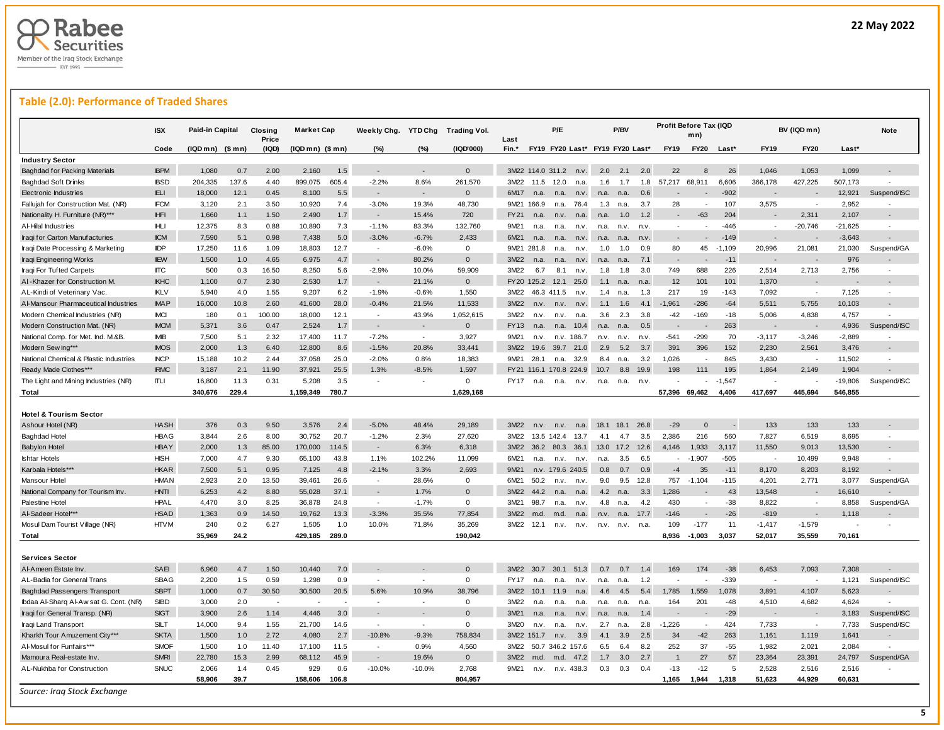

## **Table (2.0): Performance of Traded Shares**

|                                        | <b>ISX</b>  | Paid-in Capital   |             | Closing<br>Price | <b>Market Cap</b> |              | Weekly Chg. YTD Chg |          | <b>Trading Vol.</b> | Last        |                        | P/E              |            |      | P/BV                            |             | Profit Before Tax (IQD | mn)         |          |                          | BV (IQD mn)              |           | Note        |
|----------------------------------------|-------------|-------------------|-------------|------------------|-------------------|--------------|---------------------|----------|---------------------|-------------|------------------------|------------------|------------|------|---------------------------------|-------------|------------------------|-------------|----------|--------------------------|--------------------------|-----------|-------------|
|                                        | Code        | $(IQDmn)$ $($mn)$ |             | (IQD)            | (IQD mn) (\$ mn)  |              | (%)                 | (%)      | (IQD'000)           | Fin.*       |                        |                  |            |      | FY19 FY20 Last* FY19 FY20 Last* |             | <b>FY19</b>            | <b>FY20</b> | Last*    | <b>FY19</b>              | <b>FY20</b>              | Last*     |             |
| <b>Industry Sector</b>                 |             |                   |             |                  |                   |              |                     |          |                     |             |                        |                  |            |      |                                 |             |                        |             |          |                          |                          |           |             |
| <b>Baghdad for Packing Materials</b>   | <b>IBPM</b> | 1,080             | 0.7         | 2.00             | 2,160             | 1.5          |                     |          | $\mathbf{0}$        |             | 3M22 114.0 311.2       |                  | n.v.       | 2.0  | 2.1                             | 2.0         | 22                     | 8           | 26       | 1,046                    | 1,053                    | 1,099     |             |
| <b>Baghdad Soft Drinks</b>             | <b>IBSD</b> | 204,335           | 137.6       | 4.40             | 899,075           | 605.4        | $-2.2%$             | 8.6%     | 261,570             | 3M22        | 11.5                   | 12.0             | n.a        | 1.6  | 1.7                             | 1.8         | 57,217                 | 68,911      | 6,606    | 366,178                  | 427,225                  | 507,173   |             |
| <b>Electronic Industries</b>           | <b>IELI</b> | 18,000            | 12.1        | 0.45             | 8,100             | 5.5          |                     |          | $\mathbf{0}$        | 6M17        | n.a.                   | n.a.             | n.v.       | n.a. | n.a.                            | 0.6         |                        |             | $-902$   |                          |                          | 12,921    | Suspend/ISC |
| Fallujah for Construction Mat. (NR)    | <b>IFCM</b> | 3,120             | 2.1         | 3.50             | 10,920            | 7.4          | $-3.0%$             | 19.3%    | 48,730              | 9M21        | 166.9                  | n.a.             | 76.4       | 1.3  | n.a.                            | 3.7         | 28                     |             | 107      | 3,575                    |                          | 2,952     |             |
| Nationality H. Furniture (NR)***       | <b>IHFI</b> | 1,660             | 1.1         | 1.50             | 2,490             | 1.7          |                     | 15.4%    | 720                 | FY21        | n.a.                   | n.v.             | n.a.       | n.a. | 1.0                             | 1.2         |                        | $-63$       | 204      |                          | 2,311                    | 2,107     |             |
| Al-Hilal Industries                    | HLI         | 12,375            | 8.3         | 0.88             | 10,890            | 7.3          | $-1.1%$             | 83.3%    | 132,760             | 9M21        | n.a.                   | n.a.             | n.v.       | n.a. | n.v.                            | n.v.        | $\sim$                 |             | $-446$   | $\overline{\phantom{a}}$ | $-20,746$                | $-21,625$ |             |
| Iraqi for Carton Manufacturies         | <b>IICM</b> | 7,590             | 5.1         | 0.98             | 7,438             | 5.0          | $-3.0%$             | $-6.7%$  | 2.433               | 6M21        | n.a.                   | n.a.             | n.v.       | n.a. | n.a.                            | n.v.        | $\overline{a}$         |             | $-149$   |                          |                          | $-3,643$  |             |
| Iraqi Date Processing & Marketing      | <b>IIDP</b> | 17,250            | 11.6        | 1.09             | 18,803            | 12.7         | $\sim$              | $-6.0%$  | $\Omega$            |             | 9M21 281.8             | n.a.             | n.v        | 1.0  | 1.0                             | 0.9         | 80                     | 45          | $-1,109$ | 20,996                   | 21,081                   | 21,030    | Suspend/GA  |
| Iraqi Engineering Works                | <b>IIEW</b> | 1,500             | 1.0         | 4.65             | 6,975             | 4.7          |                     | 80.2%    | $\mathbf{0}$        | 3M22        | n.a.                   | n.a.             | n.v.       | n.a. | n.a                             | 7.1         |                        |             | $-11$    |                          |                          | 976       |             |
| Iraqi For Tufted Carpets               | <b>IITC</b> | 500               | 0.3         | 16.50            | 8,250             | 5.6          | $-2.9%$             | 10.0%    | 59,909              | 3M22        | 6.7                    | 8.1              | n.v.       | 1.8  | 1.8                             | 3.0         | 749                    | 688         | 226      | 2,514                    | 2,713                    | 2,756     | $\sim$      |
| AI-Khazer for Construction M.          | <b>IKHC</b> | 1,100             | 0.7         | 2.30             | 2,530             | 1.7          |                     | 21.1%    | $\mathbf{0}$        | <b>FY20</b> | 125.2                  | 12.1             | 25.0       | 1.1  | n.a.                            | n.a.        | 12                     | 101         | 101      | 1,370                    |                          |           |             |
| AL-Kindi of Veterinary Vac.            | <b>IKLV</b> | 5,940             | 4.0         | 1.55             | 9,207             | 6.2          | $-1.9%$             | $-0.6%$  | 1,550               | 3M22        |                        | 46.3 411.5       | n.v        | 1.4  | n.a.                            | 1.3         | 217                    | 19          | $-143$   | 7,092                    | $\sim$                   | 7,125     | $\sim$      |
| Al-Mansour Pharmaceutical Industries   | <b>IMAP</b> | 16,000            | 10.8        | 2.60             | 41,600            | 28.0         | $-0.4%$             | 21.5%    | 11,533              | 3M22        | n.v.                   | n.v.             | n.v.       | 1.1  | 1.6                             | 4.1         | $-1,961$               | $-286$      | $-64$    | 5,511                    | 5,755                    | 10,103    |             |
| Modern Chemical Industries (NR)        | <b>IMCI</b> | 180               | 0.1         | 100.00           | 18,000            | 12.1         |                     | 43.9%    | 1,052,615           | 3M22        | n.v.                   | n.v.             | n.a        | 3.6  | 2.3                             | 3.8         | $-42$                  | $-169$      | $-18$    | 5,006                    | 4,838                    | 4,757     |             |
| Modern Construction Mat. (NR)          | <b>IMCM</b> | 5,371             | 3.6         | 0.47             | 2,524             | 1.7          |                     |          | $\mathbf{0}$        | FY13        | n.a.                   | n.a.             | 10.4       | n.a  | n.a                             | 0.5         |                        |             | 263      |                          |                          | 4,936     | Suspend/ISC |
| National Comp. for Met. Ind. M.&B.     | <b>IMB</b>  | 7,500             | 5.1         | 2.32             | 17,400            | 11.7         | $-7.2%$             | $\sim$   | 3,927               | 9M21        | n.v.                   |                  | n.v. 186.7 | n.v. | n.v.                            | n.v.        | $-541$                 | $-299$      | 70       | $-3,117$                 | $-3,246$                 | $-2,889$  |             |
| Modern Sew ing***                      | <b>IMOS</b> | 2,000             | 1.3         | 6.40             | 12,800            | 8.6          | $-1.5%$             | 20.8%    | 33,441              | 3M22        | 19.6                   | 39.7             | 21.0       | 2.9  | 5.2                             | 3.7         | 391                    | 396         | 152      | 2,230                    | 2,561                    | 3,476     |             |
| National Chemical & Plastic Industries | <b>INCP</b> | 15,188            | 10.2        | 2.44             | 37,058            | 25.0         | $-2.0%$             | 0.8%     | 18,383              | 9M21        | 28.1                   | n.a.             | 32.9       | 8.4  | n.a.                            | 3.2         | 1,026                  |             | 845      | 3,430                    |                          | 11,502    |             |
| Ready Made Clothes***                  | <b>IRMC</b> | 3,187             | 2.1         | 11.90            | 37,921            | 25.5         | 1.3%                | $-8.5%$  | 1,597               |             | FY21 116.1 170.8 224.9 |                  |            | 10.7 | 8.8                             | 19.9        | 198                    | 111         | 195      | 1,864                    | 2,149                    | 1,904     |             |
| The Light and Mining Industries (NR)   | ITLI        | 16,800            | 11.3        | 0.31             | 5,208             | 3.5          |                     |          | 0                   | FY17        | n.a.                   | n.a.             | n.v.       | n.a. | n.a.                            | n.v.        |                        |             | $-1,547$ |                          |                          | -19,806   | Suspend/ISC |
| Total                                  |             | 340,676           | 229.4       |                  | 1,159,349         | 780.7        |                     |          | 1.629.168           |             |                        |                  |            |      |                                 |             | 57.396                 | 69.462      | 4.406    | 417.697                  | 445.694                  | 546.855   |             |
|                                        |             |                   |             |                  |                   |              |                     |          |                     |             |                        |                  |            |      |                                 |             |                        |             |          |                          |                          |           |             |
| <b>Hotel &amp; Tourism Sector</b>      |             |                   |             |                  |                   |              |                     |          |                     |             |                        |                  |            |      |                                 |             |                        |             |          |                          |                          |           |             |
| Ashour Hotel (NR)                      | <b>HASH</b> | 376               | 0.3         | 9.50             | 3,576             | 2.4          | $-5.0%$             | 48.4%    | 29,189              | 3M22        | n.v.                   | n.v.             | n.a.       | 18.1 | 18.1                            | 26.8        | $-29$                  | $\Omega$    |          | 133                      | 133                      | 133       |             |
| <b>Baghdad Hotel</b>                   | <b>HBAG</b> | 3,844             | 2.6         | 8.00             | 30,752            | 20.7         | $-1.2%$             | 2.3%     | 27,620              | 3M22        |                        | 13.5 142.4       | 13.7       | 4.1  | 4.7                             | 3.5         | 2,386                  | 216         | 560      | 7,827                    | 6,519                    | 8,695     |             |
| <b>Babylon Hotel</b>                   | <b>HBAY</b> | 2,000             | 1.3         | 85.00            | 170,000           | 114.5        |                     | 6.3%     | 6,318               | 3M22        | 36.2                   | 80.3             | 36.1       | 13.0 | 17.2 12.6                       |             | 4,146                  | 1,933       | 3,117    | 11,550                   | 9,013                    | 13,530    |             |
| <b>Ishtar Hotels</b>                   | <b>HISH</b> | 7,000             | 4.7         | 9.30             | 65,100            | 43.8         | 1.1%                | 102.2%   | 11,099              | 6M21        | n.a.                   | n.v.             | n.v.       | n.a  | 3.5                             | 6.5         | $\sim$                 | $-1,907$    | $-505$   |                          | 10,499                   | 9,948     |             |
| Karbala Hotels***                      | <b>HKAR</b> | 7,500             | 5.1         | 0.95             | 7,125             | 4.8          | $-2.1%$             | 3.3%     | 2,693               | 9M21        |                        | n.v. 179.6 240.5 |            | 0.8  | 0.7                             | 0.9         | $-4$                   | 35          | $-11$    | 8,170                    | 8,203                    | 8,192     |             |
| Mansour Hotel                          | <b>HMAN</b> | 2,923             | 2.0         | 13.50            | 39,461            | 26.6         | $\sim$              | 28.6%    | 0                   | 6M21        | 50.2                   | n.v.             | n.v.       | 9.0  | 9.5                             | 12.8        | 757                    | $-1,104$    | $-115$   | 4,201                    | 2,771                    | 3,077     | Suspend/GA  |
| National Company for Tourism Inv.      | <b>HNTI</b> | 6,253             | 4.2         | 8.80             | 55,028            | 37.1         |                     | 1.7%     | $\Omega$            | 3M22        | 44.2                   | n.a.             | n.a        | 4.2  | n.a.                            | 3.3         | 1.286                  |             | 43       | 13,548                   |                          | 16,610    |             |
| Palestine Hotel                        | <b>HPAL</b> | 4,470             | 3.0         | 8.25             | 36,878            | 24.8         | $\sim$              | $-1.7%$  | 0                   | 3M21        | 98.7                   | n.a.             | n.v        | 4.8  | n.a.                            | 4.2         | 430                    | $\sim$      | $-38$    | 8,822                    |                          | 8,858     | Suspend/GA  |
| Al-Sadeer Hotel***                     | <b>HSAD</b> | 1,363             | 0.9         | 14.50            | 19,762            | 13.3         | $-3.3%$             | 35.5%    | 77,854              | 3M22        | m.d.                   | m.d.             | n.a.       | n.v. | n.a.                            | 17.7        | $-146$                 |             | $-26$    | $-819$                   |                          | 1,118     |             |
| Mosul Dam Tourist Village (NR)         | <b>HTVM</b> | 240               | 0.2         | 6.27             | 1,505             | 1.0          | 10.0%               | 71.8%    | 35,269              | 3M22        | 12.1                   | n.v.             | n.v.       | n.v. | n.v.                            | n.a.        | 109                    | $-177$      | 11       | $-1,417$                 | $-1,579$                 |           |             |
| Total                                  |             | 35.969            | 24.2        |                  | 429.185           | 289.0        |                     |          | 190.042             |             |                        |                  |            |      |                                 |             | 8.936                  | $-1.003$    | 3,037    | 52.017                   | 35.559                   | 70.161    |             |
|                                        |             |                   |             |                  |                   |              |                     |          |                     |             |                        |                  |            |      |                                 |             |                        |             |          |                          |                          |           |             |
| Services Sector                        |             |                   |             |                  |                   |              |                     |          |                     |             |                        |                  |            |      |                                 |             |                        |             |          |                          |                          |           |             |
| Al-Ameen Estate Inv                    | SAEI        | 6,960             | 4.7         | 1.50             | 10,440            | 7.0          |                     |          | $\Omega$            | 3MD2        | 30.7                   | 30.1             | 51.3       | 07   | 07                              | 1.4         | 169                    | 174         | $-38$    | 6,453                    | 7,093                    | 7,308     |             |
| AL-Badia for General Trans             | <b>SBAG</b> | 2,200             | 1.5         | 0.59             | 1,298             | 0.9          |                     |          | 0                   | FY17        | n.a.                   | n.a.             | n.v.       | n.a. | n.a.                            | 1.2         |                        |             | $-339$   | $\overline{\phantom{a}}$ |                          | 1,121     | Suspend/ISC |
| <b>Baghdad Passengers Transport</b>    | <b>SBPT</b> | 1,000             | 0.7         | 30.50            | 30,500            | 20.5         | 5.6%                | 10.9%    | 38,796              | 3M22        | 10.1                   | 11.9             | n.a.       | 4.6  | 4.5                             | 5.4         | 1,785                  | 1,559       | 1,078    | 3,891                    | 4,107                    | 5,623     |             |
| Ibdaa Al-Sharq Al-Aw sat G. Cont. (NR) | <b>SIBD</b> | 3,000             | 2.0         | $\overline{a}$   |                   |              |                     |          | $\mathbf 0$         | 3M22        |                        |                  | n.a        | n.a. |                                 |             | 164                    | 201         | $-48$    | 4,510                    | 4,682                    | 4,624     |             |
| Iraqi for General Transp. (NR)         | <b>SIGT</b> | 3,900             | 2.6         | 1.14             | 4.446             | 3.0          |                     |          | $\Omega$            | 3M21        | n.a.<br>n.a.           | n.a.<br>n.a.     | n.v.       | n.a. | n.a.                            | n.a.<br>1.4 |                        |             | $-29$    |                          |                          | 3,183     | Suspend/ISC |
|                                        | <b>SILT</b> | 14,000            | 9.4         | 1.55             |                   | 14.6         | in 1919.            |          | 0                   | 3M20        | n.v.                   |                  | n.v.       | 2.7  | n.a                             | 2.8         | $-1,226$               | $\sim$      | 424      | 7,733                    | $\overline{\phantom{a}}$ |           |             |
| Iraqi Land Transport                   | <b>SKTA</b> |                   |             |                  | 21,700            |              |                     | $-9.3%$  |                     |             |                        | n.a.             |            |      | n.a.                            |             |                        |             |          |                          |                          | 7,733     | Suspend/ISC |
| Kharkh Tour Amuzement City***          |             | 1,500             | 1.0         | 2.72             | 4,080             | 2.7          | $-10.8%$            |          | 758,834             |             | 3M22 151.7             | n.v.             | 3.9        | 4.1  | 3.9                             | 2.5         | 34                     | $-42$       | 263      | 1,161                    | 1,119                    | 1,641     |             |
| Al-Mosul for Funfairs***               | <b>SMOF</b> | 1,500             | 1.0         | 11.40            | 17,100            | 11.5         | $\sim$              | 0.9%     | 4,560               | 3M22        |                        | 50.7 346.2 157.6 |            | 6.5  | 64                              | 8.2         | 252                    | 37          | $-55$    | 1,982                    | 2,021                    | 2,084     |             |
| Mamoura Real-estate Inv                | <b>SMRI</b> | 22,780            | 15.3        | 2.99             | 68,112            | 45.9         |                     | 19.6%    | $\mathbf{0}$        | 3M22        | m.d.                   | m.d.             | 47.2       | 1.7  | 3.0                             | 2.7         |                        | 27          | 57       | 23,364                   | 23,391                   | 24,797    | Suspend/GA  |
| AL-Nukhba for Construction             | <b>SNUC</b> | 2,066             | 1.4<br>39.7 | 0.45             | 929<br>158,606    | 0.6<br>106.8 | $-10.0%$            | $-10.0%$ | 2,768               | 9M21        | n.v.                   |                  | n.v. 438.3 | 0.3  | 0.3                             | 0.4         | $-13$                  | $-12$       | 5        | 2,528<br>51,623          | 2,516                    | 2,516     |             |
|                                        |             | 58,906            |             |                  |                   |              |                     |          | 804,957             |             |                        |                  |            |      |                                 |             | 1,165                  | 1.944       | 1,318    |                          | 44,929                   | 60,631    |             |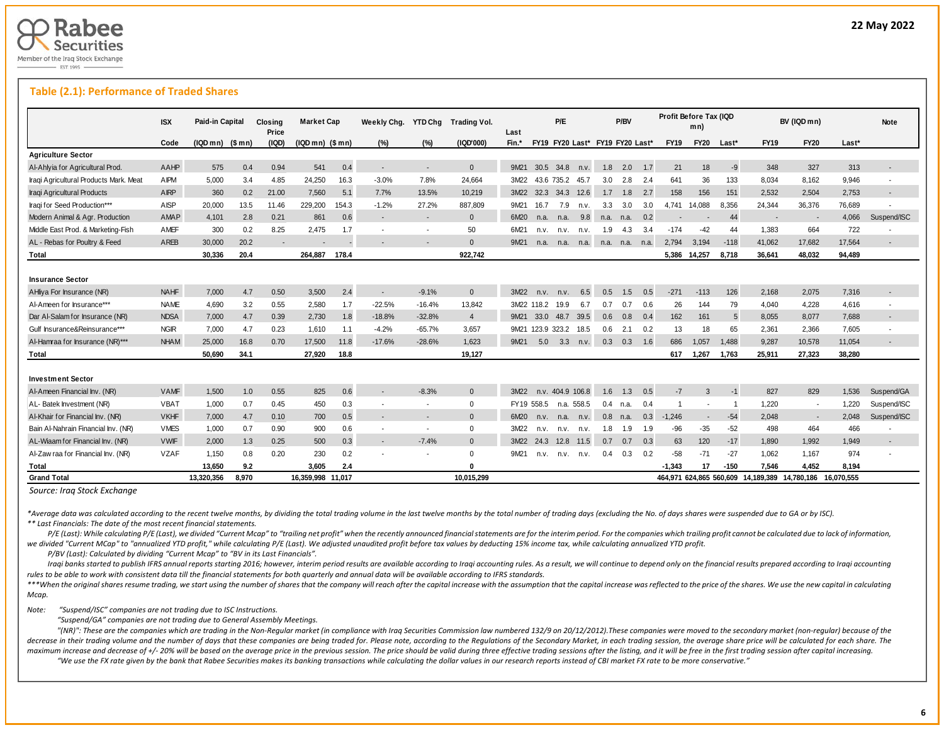

L

## **Table (2.1): Performance of Traded Shares**

|                                        | <b>ISX</b>  | Paid-in Capital   |       | Closing<br>Price | <b>Market Cap</b> |       | Weekly Chg.              | YTD Chg                  | Trading Vol.   | Last  |                       | P/E              |            |                                 | P/BV |      | Profit Before Tax (IQD   | mn)                      |                |                                                          | BV (IQD mn)              |        | Note                     |
|----------------------------------------|-------------|-------------------|-------|------------------|-------------------|-------|--------------------------|--------------------------|----------------|-------|-----------------------|------------------|------------|---------------------------------|------|------|--------------------------|--------------------------|----------------|----------------------------------------------------------|--------------------------|--------|--------------------------|
|                                        | Code        | $(IQDmn)$ $($mn)$ |       | (IQD)            | $(IQDmn)$ $(Smn)$ |       | (%)                      | (%)                      | (IQD'000)      | Fin.* |                       |                  |            | FY19 FY20 Last* FY19 FY20 Last* |      |      | <b>FY19</b>              | <b>FY20</b>              | Last*          | <b>FY19</b>                                              | <b>FY20</b>              | Last*  |                          |
| <b>Agriculture Sector</b>              |             |                   |       |                  |                   |       |                          |                          |                |       |                       |                  |            |                                 |      |      |                          |                          |                |                                                          |                          |        |                          |
| Al-Ahlyia for Agricultural Prod.       | AAHP        | 575               | 0.4   | 0.94             | 541               | 0.4   |                          |                          | $\Omega$       | 9M21  |                       | 30.5 34.8        | n.v.       | 1.8                             | 2.0  | 1.7  | 21                       | 18                       | $-9$           | 348                                                      | 327                      | 313    | $\blacksquare$           |
| Iraqi Agricultural Products Mark. Meat | AIPM        | 5,000             | 3.4   | 4.85             | 24,250            | 16.3  | $-3.0%$                  | 7.8%                     | 24.664         | 3M22  |                       | 43.6 735.2 45.7  |            | 3.0                             | 2.8  | -2.4 | 641                      | 36                       | 133            | 8,034                                                    | 8,162                    | 9,946  | $\blacksquare$           |
| Iraqi Agricultural Products            | <b>AIRP</b> | 360               | 0.2   | 21.00            | 7.560             | 5.1   | 7.7%                     | 13.5%                    | 10.219         | 3M22  | 32.3                  | 34.3             | 12.6       | 1.7                             | 1.8  | 2.7  | 158                      | 156                      | 151            | 2,532                                                    | 2.504                    | 2,753  | $\sim$                   |
| Iraqi for Seed Production***           | AISP        | 20,000            | 13.5  | 11.46            | 229.200           | 154.3 | $-1.2%$                  | 27.2%                    | 887.809        | 9M21  | 16.7                  | 7.9              | n.v.       | 3.3                             | 3.0  | 3.0  | 4.741                    | 14.088                   | 8.356          | 24,344                                                   | 36,376                   | 76,689 |                          |
| Modern Animal & Agr. Production        | AMAP        | 4,101             | 2.8   | 0.21             | 861               | 0.6   |                          | $\sim$                   | $\Omega$       | 6M20  | n.a.                  | n.a.             | 9.8        | n.a.                            | n.a. | 0.2  | $\overline{\phantom{a}}$ | $\overline{\phantom{a}}$ | 44             | $\overline{\phantom{a}}$                                 | $\overline{\phantom{a}}$ | 4,066  | Suspend/ISC              |
| Middle East Prod. & Marketing-Fish     | AMEF        | 300               | 0.2   | 8.25             | 2,475             | 1.7   |                          |                          | 50             | 6M21  | n.v.                  | n.v.             | n.v.       | 1.9                             | 4.3  | 3.4  | $-174$                   | -42                      | 44             | 1,383                                                    | 664                      | 722    | $\blacksquare$           |
| AL - Rebas for Poultry & Feed          | AREB        | 30.000            | 20.2  |                  |                   |       |                          |                          | $\Omega$       | 9M21  | n.a.                  | n.a.             | n.a.       | n.a. n.a.                       |      | n.a. | 2,794                    | 3,194                    | $-118$         | 41,062                                                   | 17,682                   | 17,564 |                          |
| Total                                  |             | 30,336            | 20.4  |                  | 264,887           | 178.4 |                          |                          | 922,742        |       |                       |                  |            |                                 |      |      | 5,386                    | 14,257                   | 8,718          | 36,641                                                   | 48,032                   | 94,489 |                          |
| <b>Insurance Sector</b>                |             |                   |       |                  |                   |       |                          |                          |                |       |                       |                  |            |                                 |      |      |                          |                          |                |                                                          |                          |        |                          |
| AHliya For Insurance (NR)              | <b>NAHF</b> | 7,000             | 4.7   | 0.50             | 3,500             | 2.4   |                          | $-9.1%$                  | $\Omega$       | 3M22  | n.v.                  | n.v.             | 6.5        | 0.5                             | 1.5  | 0.5  | $-271$                   | $-113$                   | 126            | 2,168                                                    | 2,075                    | 7,316  |                          |
| Al-Ameen for Insurance***              | <b>NAME</b> | 4,690             | 3.2   | 0.55             | 2,580             | 1.7   | $-22.5%$                 | $-16.4%$                 | 13,842         |       | 3M22 118.2            | 19.9             | 6.7        | 0.7                             | 0.7  | 0.6  | 26                       | 144                      | 79             | 4,040                                                    | 4,228                    | 4,616  |                          |
| Dar Al-Salam for Insurance (NR)        | <b>NDSA</b> | 7.000             | 4.7   | 0.39             | 2.730             | 1.8   | $-18.8%$                 | $-32.8%$                 | $\overline{4}$ | 9M21  | 33.0                  | 48.7             | 39.5       | 0.6                             | 0.8  | 0.4  | 162                      | 161                      | 5              | 8,055                                                    | 8.077                    | 7.688  | $\overline{\phantom{a}}$ |
| Gulf Insurance&Reinsurance***          | <b>NGIR</b> | 7.000             | 4.7   | 0.23             | 1.610             | 1.1   | $-4.2%$                  | $-65.7%$                 | 3.657          |       | 9M21 123.9 323.2 18.5 |                  |            | 0.6                             | 2.1  | 0.2  | 13                       | 18                       | 65             | 2.361                                                    | 2,366                    | 7.605  |                          |
| Al-Hamraa for Insurance (NR)***        | <b>NHAM</b> | 25,000            | 16.8  | 0.70             | 17,500            | 11.8  | $-17.6%$                 | $-28.6%$                 | 1,623          | 9M21  | 5.0                   | 3.3              | n.v.       | 0.3                             | 0.3  | 1.6  | 686                      | 1,057                    | 1,488          | 9,287                                                    | 10,578                   | 11,054 |                          |
| <b>Total</b>                           |             | 50.690            | 34.1  |                  | 27,920            | 18.8  |                          |                          | 19,127         |       |                       |                  |            |                                 |      |      | 617                      | 1.267                    | 1,763          | 25,911                                                   | 27,323                   | 38,280 |                          |
| <b>Investment Sector</b>               |             |                   |       |                  |                   |       |                          |                          |                |       |                       |                  |            |                                 |      |      |                          |                          |                |                                                          |                          |        |                          |
| Al-Ameen Financial Inv. (NR)           | <b>VAMF</b> | 1,500             | 1.0   | 0.55             | 825               | 0.6   | $\sim$                   | $-8.3%$                  | $\mathbf{0}$   | 3M22  |                       | n.v. 404.9 106.8 |            | 1.6                             | 1.3  | 0.5  | $-7$                     | 3                        | $-1$           | 827                                                      | 829                      | 1,536  | Suspend/GA               |
| AL- Batek Investment (NR)              | <b>VBAT</b> | 1,000             | 0.7   | 0.45             | 450               | 0.3   | $\overline{\phantom{a}}$ | $\overline{\phantom{a}}$ | $\mathbf 0$    |       | FY19 558.5            |                  | n.a. 558.5 | 0.4                             | n.a. | 0.4  |                          | $\overline{\phantom{a}}$ | $\overline{1}$ | 1.220                                                    | $\sim$                   | 1,220  | Suspend/ISC              |
| Al-Khair for Financial Inv. (NR)       | <b>VKHF</b> | 7,000             | 4.7   | 0.10             | 700               | 0.5   |                          |                          | $\mathbf{0}$   | 6M20  | n.v.                  | n.a.             | n.v.       | 0.8                             | n.a. | 0.3  | $-1.246$                 | $\sim$                   | $-54$          | 2,048                                                    | $\overline{\phantom{a}}$ | 2.048  | Suspend/ISC              |
| Bain Al-Nahrain Financial Inv. (NR)    | <b>VMES</b> | 1,000             | 0.7   | 0.90             | 900               | 0.6   |                          | $\sim$                   | $\mathbf{0}$   | 3M22  | n.v.                  | n.v.             | n.v.       | 1.8                             | 1.9  | 1.9  | $-96$                    | $-35$                    | $-52$          | 498                                                      | 464                      | 466    |                          |
| AL-Wiaam for Financial Inv. (NR)       | <b>VWIF</b> | 2.000             | 1.3   | 0.25             | 500               | 0.3   | $\sim$                   | $-7.4%$                  | $\overline{0}$ | 3M22  | 24.3                  | 12.8 11.5        |            | 0.7                             | 0.7  | 0.3  | 63                       | 120                      | $-17$          | 1,890                                                    | 1.992                    | 1.949  | $\sim$                   |
| Al-Zaw raa for Financial Inv. (NR)     | <b>VZAF</b> | 1,150             | 0.8   | 0.20             | 230               | 0.2   |                          | $\sim$                   | $\mathbf 0$    | 9M21  | n.v.                  |                  | n.v. n.v.  | 0.4                             | 0.3  | 0.2  | $-58$                    | $-71$                    | $-27$          | 1,062                                                    | 1,167                    | 974    |                          |
| <b>Total</b>                           |             | 13.650            | 9.2   |                  | 3.605             | 2.4   |                          |                          | n              |       |                       |                  |            |                                 |      |      | $-1.343$                 | 17                       | $-150$         | 7.546                                                    | 4,452                    | 8.194  |                          |
| <b>Grand Total</b>                     |             | 13,320,356        | 8.970 |                  | 16.359.998 11.017 |       |                          |                          | 10.015.299     |       |                       |                  |            |                                 |      |      |                          |                          |                | 464.971 624.865 560.609 14.189.389 14.780.186 16.070.555 |                          |        |                          |

*Source: Iraq Stock Exchange*

\*Average data was calculated according to the recent twelve months, by dividing the total trading volume in the last twelve months by the total number of trading days (excluding the No. of days shares were suspended due to *\*\* Last Financials: The date of the most recent financial statements.* 

P/E (Last): While calculating P/E (Last), we divided "Current Mcap" to "trailing net profit" when the recently announced financial statements are for the interim period. For the companies which trailing profit cannot be ca we divided "Current MCap" to "annualized YTD profit," while calculating P/E (Last). We adjusted unaudited profit before tax values by deducting 15% income tax, while calculating annualized YTD profit.

 *P/BV (Last): Calculated by dividing "Current Mcap" to "BV in its Last Financials".*

Iraqi banks started to publish IFRS annual reports starting 2016; however, interim period results are available according to Iraqi accounting rules. As a result, we will continue to depend only on the financial results pre *rules to be able to work with consistent data till the financial statements for both quarterly and annual data will be available according to IFRS standards.* 

\*\*\*When the original shares resume trading, we start using the number of shares that the company will reach after the capital increase with the assumption that the capital increase was reflected to the price of the shares. *Mcap.*

*Note: "Suspend/ISC" companies are not trading due to ISC Instructions.*

 *"Suspend/GA" companies are not trading due to General Assembly Meetings.*

"(NR)": These are the companies which are trading in the Non-Regular market (in compliance with Iraq Securities Commission law numbered 132/9 on 20/12/2012). These companies were moved to the secondary market (non-regular) decrease in their trading volume and the number of days that these companies are being traded for. Please note, according to the Regulations of the Secondary Market, in each trading session, the average share price will be maximum increase and decrease of +/- 20% will be based on the average price in the previous session. The price should be valid during three effective trading sessions after the listing, and it will be free in the first tra "We use the FX rate given by the bank that Rabee Securities makes its banking transactions while calculating the dollar values in our research reports instead of CBI market FX rate to be more conservative."